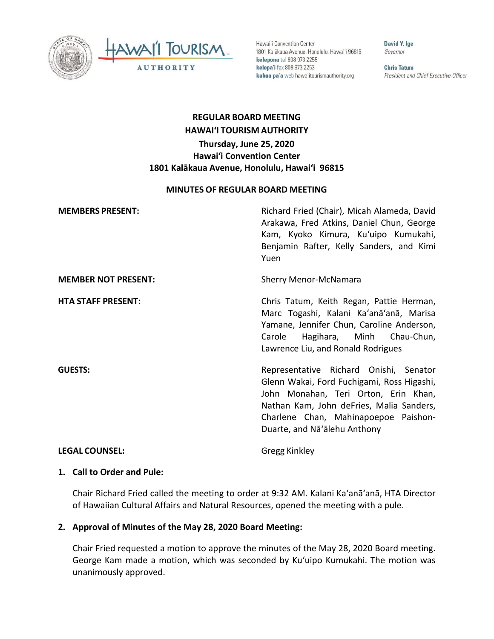



Hawai'i Convention Center 1801 Kalākaua Avenue, Honolulu, Hawai'i 96815 kelepona tel 808 973 2255 kelepa'i fax 808 973 2253 kahua pa'a web hawaiitourismauthority.org

David Y. Ige Governor

**Chris Tatum** President and Chief Executive Officer

# **REGULAR BOARD MEETING HAWAI'I TOURISM AUTHORITY Thursday, June 25, 2020 Hawai'i Convention Center 1801 Kalākaua Avenue, Honolulu, Hawai'i 96815**

#### **MINUTES OF REGULAR BOARD MEETING**

| <b>MEMBERS PRESENT:</b>    | Richard Fried (Chair), Micah Alameda, David<br>Arakawa, Fred Atkins, Daniel Chun, George<br>Kam, Kyoko Kimura, Ku'uipo Kumukahi,<br>Benjamin Rafter, Kelly Sanders, and Kimi<br>Yuen                                                             |
|----------------------------|--------------------------------------------------------------------------------------------------------------------------------------------------------------------------------------------------------------------------------------------------|
| <b>MEMBER NOT PRESENT:</b> | <b>Sherry Menor-McNamara</b>                                                                                                                                                                                                                     |
| <b>HTA STAFF PRESENT:</b>  | Chris Tatum, Keith Regan, Pattie Herman,<br>Marc Togashi, Kalani Ka'anā'anā, Marisa<br>Yamane, Jennifer Chun, Caroline Anderson,<br>Hagihara, Minh Chau-Chun,<br>Carole<br>Lawrence Liu, and Ronald Rodrigues                                    |
| <b>GUESTS:</b>             | Representative Richard Onishi, Senator<br>Glenn Wakai, Ford Fuchigami, Ross Higashi,<br>John Monahan, Teri Orton, Erin Khan,<br>Nathan Kam, John deFries, Malia Sanders,<br>Charlene Chan, Mahinapoepoe Paishon-<br>Duarte, and Na'alehu Anthony |
| <b>LEGAL COUNSEL:</b>      | Gregg Kinkley                                                                                                                                                                                                                                    |

# **1. Call to Order and Pule:**

Chair Richard Fried called the meeting to order at 9:32 AM. Kalani Ka'anā'anā, HTA Director of Hawaiian Cultural Affairs and Natural Resources, opened the meeting with a pule.

### **2. Approval of Minutes of the May 28, 2020 Board Meeting:**

Chair Fried requested a motion to approve the minutes of the May 28, 2020 Board meeting. George Kam made a motion, which was seconded by Kuʻuipo Kumukahi. The motion was unanimously approved.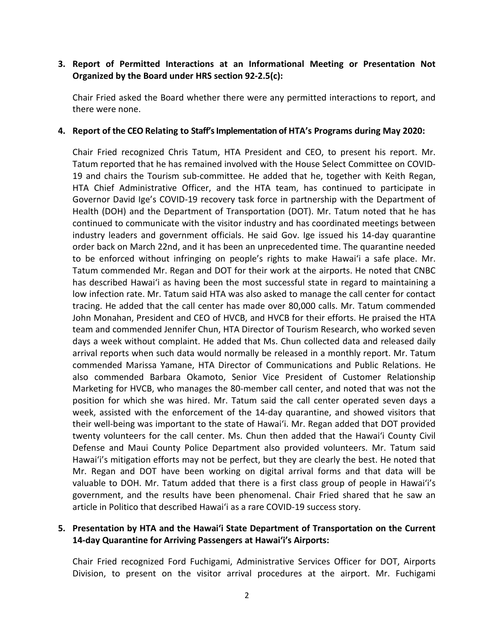### **3. Report of Permitted Interactions at an Informational Meeting or Presentation Not Organized by the Board under HRS section 92-2.5(c):**

Chair Fried asked the Board whether there were any permitted interactions to report, and there were none.

#### **4. Report of the CEO Relating to Staff's Implementation of HTA's Programs during May 2020:**

Chair Fried recognized Chris Tatum, HTA President and CEO, to present his report. Mr. Tatum reported that he has remained involved with the House Select Committee on COVID-19 and chairs the Tourism sub-committee. He added that he, together with Keith Regan, HTA Chief Administrative Officer, and the HTA team, has continued to participate in Governor David Ige's COVID-19 recovery task force in partnership with the Department of Health (DOH) and the Department of Transportation (DOT). Mr. Tatum noted that he has continued to communicate with the visitor industry and has coordinated meetings between industry leaders and government officials. He said Gov. Ige issued his 14-day quarantine order back on March 22nd, and it has been an unprecedented time. The quarantine needed to be enforced without infringing on people's rights to make Hawaiʻi a safe place. Mr. Tatum commended Mr. Regan and DOT for their work at the airports. He noted that CNBC has described Hawaiʻi as having been the most successful state in regard to maintaining a low infection rate. Mr. Tatum said HTA was also asked to manage the call center for contact tracing. He added that the call center has made over 80,000 calls. Mr. Tatum commended John Monahan, President and CEO of HVCB, and HVCB for their efforts. He praised the HTA team and commended Jennifer Chun, HTA Director of Tourism Research, who worked seven days a week without complaint. He added that Ms. Chun collected data and released daily arrival reports when such data would normally be released in a monthly report. Mr. Tatum commended Marissa Yamane, HTA Director of Communications and Public Relations. He also commended Barbara Okamoto, Senior Vice President of Customer Relationship Marketing for HVCB, who manages the 80-member call center, and noted that was not the position for which she was hired. Mr. Tatum said the call center operated seven days a week, assisted with the enforcement of the 14-day quarantine, and showed visitors that their well-being was important to the state of Hawaiʻi. Mr. Regan added that DOT provided twenty volunteers for the call center. Ms. Chun then added that the Hawaiʻi County Civil Defense and Maui County Police Department also provided volunteers. Mr. Tatum said Hawaiʻi's mitigation efforts may not be perfect, but they are clearly the best. He noted that Mr. Regan and DOT have been working on digital arrival forms and that data will be valuable to DOH. Mr. Tatum added that there is a first class group of people in Hawaiʻi's government, and the results have been phenomenal. Chair Fried shared that he saw an article in Politico that described Hawaiʻi as a rare COVID-19 success story.

### **5. Presentation by HTA and the Hawaiʻi State Department of Transportation on the Current 14-day Quarantine for Arriving Passengers at Hawaiʻi's Airports:**

Chair Fried recognized Ford Fuchigami, Administrative Services Officer for DOT, Airports Division, to present on the visitor arrival procedures at the airport. Mr. Fuchigami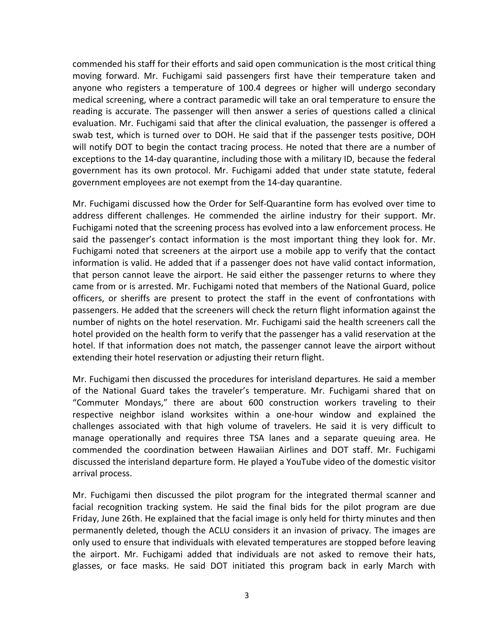commended his staff for their efforts and said open communication is the most critical thing moving forward. Mr. Fuchigami said passengers first have their temperature taken and anyone who registers a temperature of 100.4 degrees or higher will undergo secondary medical screening, where a contract paramedic will take an oral temperature to ensure the reading is accurate. The passenger will then answer a series of questions called a clinical evaluation. Mr. Fuchigami said that after the clinical evaluation, the passenger is offered a swab test, which is turned over to DOH. He said that if the passenger tests positive, DOH will notify DOT to begin the contact tracing process. He noted that there are a number of exceptions to the 14-day quarantine, including those with a military ID, because the federal government has its own protocol. Mr. Fuchigami added that under state statute, federal government employees are not exempt from the 14-day quarantine.

Mr. Fuchigami discussed how the Order for Self-Quarantine form has evolved over time to address different challenges. He commended the airline industry for their support. Mr. Fuchigami noted that the screening process has evolved into a law enforcement process. He said the passenger's contact information is the most important thing they look for. Mr. Fuchigami noted that screeners at the airport use a mobile app to verify that the contact information is valid. He added that if a passenger does not have valid contact information, that person cannot leave the airport. He said either the passenger returns to where they came from or is arrested. Mr. Fuchigami noted that members of the National Guard, police officers, or sheriffs are present to protect the staff in the event of confrontations with passengers. He added that the screeners will check the return flight information against the number of nights on the hotel reservation. Mr. Fuchigami said the health screeners call the hotel provided on the health form to verify that the passenger has a valid reservation at the hotel. If that information does not match, the passenger cannot leave the airport without extending their hotel reservation or adjusting their return flight.

Mr. Fuchigami then discussed the procedures for interisland departures. He said a member of the National Guard takes the traveler's temperature. Mr. Fuchigami shared that on "Commuter Mondays," there are about 600 construction workers traveling to their respective neighbor island worksites within a one-hour window and explained the challenges associated with that high volume of travelers. He said it is very difficult to manage operationally and requires three TSA lanes and a separate queuing area. He commended the coordination between Hawaiian Airlines and DOT staff. Mr. Fuchigami discussed the interisland departure form. He played a YouTube video of the domestic visitor arrival process.

Mr. Fuchigami then discussed the pilot program for the integrated thermal scanner and facial recognition tracking system. He said the final bids for the pilot program are due Friday, June 26th. He explained that the facial image is only held for thirty minutes and then permanently deleted, though the ACLU considers it an invasion of privacy. The images are only used to ensure that individuals with elevated temperatures are stopped before leaving the airport. Mr. Fuchigami added that individuals are not asked to remove their hats, glasses, or face masks. He said DOT initiated this program back in early March with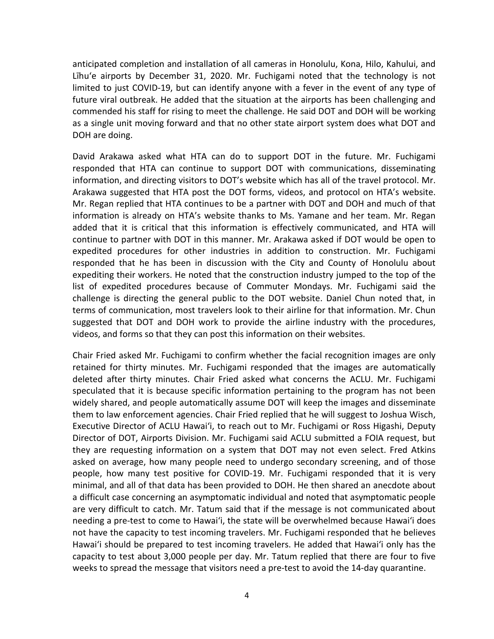anticipated completion and installation of all cameras in Honolulu, Kona, Hilo, Kahului, and Līhuʻe airports by December 31, 2020. Mr. Fuchigami noted that the technology is not limited to just COVID-19, but can identify anyone with a fever in the event of any type of future viral outbreak. He added that the situation at the airports has been challenging and commended his staff for rising to meet the challenge. He said DOT and DOH will be working as a single unit moving forward and that no other state airport system does what DOT and DOH are doing.

David Arakawa asked what HTA can do to support DOT in the future. Mr. Fuchigami responded that HTA can continue to support DOT with communications, disseminating information, and directing visitors to DOT's website which has all of the travel protocol. Mr. Arakawa suggested that HTA post the DOT forms, videos, and protocol on HTA's website. Mr. Regan replied that HTA continues to be a partner with DOT and DOH and much of that information is already on HTA's website thanks to Ms. Yamane and her team. Mr. Regan added that it is critical that this information is effectively communicated, and HTA will continue to partner with DOT in this manner. Mr. Arakawa asked if DOT would be open to expedited procedures for other industries in addition to construction. Mr. Fuchigami responded that he has been in discussion with the City and County of Honolulu about expediting their workers. He noted that the construction industry jumped to the top of the list of expedited procedures because of Commuter Mondays. Mr. Fuchigami said the challenge is directing the general public to the DOT website. Daniel Chun noted that, in terms of communication, most travelers look to their airline for that information. Mr. Chun suggested that DOT and DOH work to provide the airline industry with the procedures, videos, and forms so that they can post this information on their websites.

Chair Fried asked Mr. Fuchigami to confirm whether the facial recognition images are only retained for thirty minutes. Mr. Fuchigami responded that the images are automatically deleted after thirty minutes. Chair Fried asked what concerns the ACLU. Mr. Fuchigami speculated that it is because specific information pertaining to the program has not been widely shared, and people automatically assume DOT will keep the images and disseminate them to law enforcement agencies. Chair Fried replied that he will suggest to Joshua Wisch, Executive Director of ACLU Hawaiʻi, to reach out to Mr. Fuchigami or Ross Higashi, Deputy Director of DOT, Airports Division. Mr. Fuchigami said ACLU submitted a FOIA request, but they are requesting information on a system that DOT may not even select. Fred Atkins asked on average, how many people need to undergo secondary screening, and of those people, how many test positive for COVID-19. Mr. Fuchigami responded that it is very minimal, and all of that data has been provided to DOH. He then shared an anecdote about a difficult case concerning an asymptomatic individual and noted that asymptomatic people are very difficult to catch. Mr. Tatum said that if the message is not communicated about needing a pre-test to come to Hawaiʻi, the state will be overwhelmed because Hawaiʻi does not have the capacity to test incoming travelers. Mr. Fuchigami responded that he believes Hawaiʻi should be prepared to test incoming travelers. He added that Hawaiʻi only has the capacity to test about 3,000 people per day. Mr. Tatum replied that there are four to five weeks to spread the message that visitors need a pre-test to avoid the 14-day quarantine.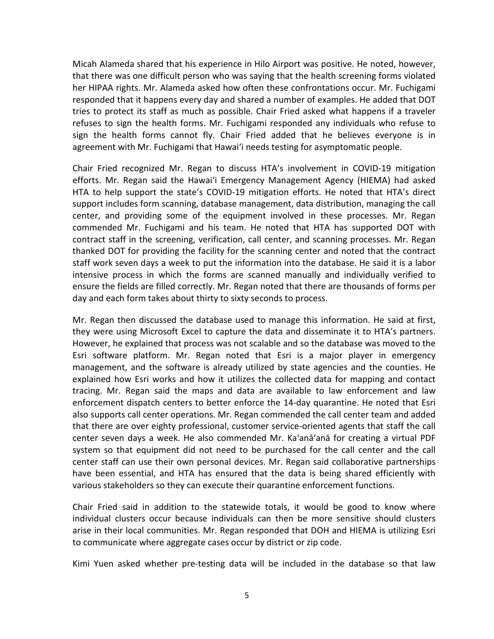Micah Alameda shared that his experience in Hilo Airport was positive. He noted, however, that there was one difficult person who was saying that the health screening forms violated her HIPAA rights. Mr. Alameda asked how often these confrontations occur. Mr. Fuchigami responded that it happens every day and shared a number of examples. He added that DOT tries to protect its staff as much as possible. Chair Fried asked what happens if a traveler refuses to sign the health forms. Mr. Fuchigami responded any individuals who refuse to sign the health forms cannot fly. Chair Fried added that he believes everyone is in agreement with Mr. Fuchigami that Hawaiʻi needs testing for asymptomatic people.

Chair Fried recognized Mr. Regan to discuss HTA's involvement in COVID-19 mitigation efforts. Mr. Regan said the Hawaiʻi Emergency Management Agency (HIEMA) had asked HTA to help support the state's COVID-19 mitigation efforts. He noted that HTA's direct support includes form scanning, database management, data distribution, managing the call center, and providing some of the equipment involved in these processes. Mr. Regan commended Mr. Fuchigami and his team. He noted that HTA has supported DOT with contract staff in the screening, verification, call center, and scanning processes. Mr. Regan thanked DOT for providing the facility for the scanning center and noted that the contract staff work seven days a week to put the information into the database. He said it is a labor intensive process in which the forms are scanned manually and individually verified to ensure the fields are filled correctly. Mr. Regan noted that there are thousands of forms per day and each form takes about thirty to sixty seconds to process.

Mr. Regan then discussed the database used to manage this information. He said at first, they were using Microsoft Excel to capture the data and disseminate it to HTA's partners. However, he explained that process was not scalable and so the database was moved to the Esri software platform. Mr. Regan noted that Esri is a major player in emergency management, and the software is already utilized by state agencies and the counties. He explained how Esri works and how it utilizes the collected data for mapping and contact tracing. Mr. Regan said the maps and data are available to law enforcement and law enforcement dispatch centers to better enforce the 14-day quarantine. He noted that Esri also supports call center operations. Mr. Regan commended the call center team and added that there are over eighty professional, customer service-oriented agents that staff the call center seven days a week. He also commended Mr. Ka'anā'anā for creating a virtual PDF system so that equipment did not need to be purchased for the call center and the call center staff can use their own personal devices. Mr. Regan said collaborative partnerships have been essential, and HTA has ensured that the data is being shared efficiently with various stakeholders so they can execute their quarantine enforcement functions.

Chair Fried said in addition to the statewide totals, it would be good to know where individual clusters occur because individuals can then be more sensitive should clusters arise in their local communities. Mr. Regan responded that DOH and HIEMA is utilizing Esri to communicate where aggregate cases occur by district or zip code.

Kimi Yuen asked whether pre-testing data will be included in the database so that law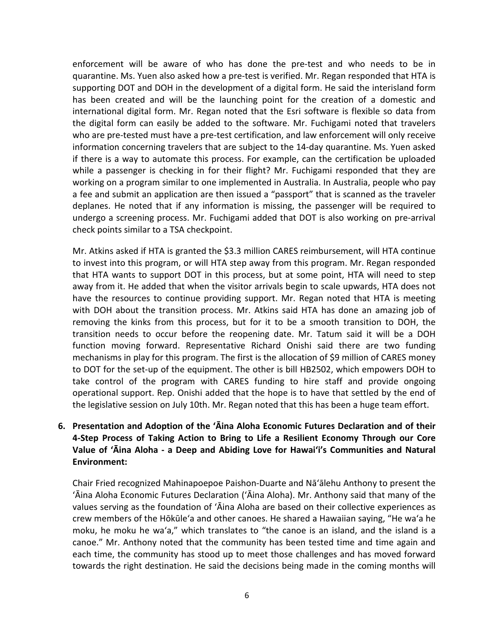enforcement will be aware of who has done the pre-test and who needs to be in quarantine. Ms. Yuen also asked how a pre-test is verified. Mr. Regan responded that HTA is supporting DOT and DOH in the development of a digital form. He said the interisland form has been created and will be the launching point for the creation of a domestic and international digital form. Mr. Regan noted that the Esri software is flexible so data from the digital form can easily be added to the software. Mr. Fuchigami noted that travelers who are pre-tested must have a pre-test certification, and law enforcement will only receive information concerning travelers that are subject to the 14-day quarantine. Ms. Yuen asked if there is a way to automate this process. For example, can the certification be uploaded while a passenger is checking in for their flight? Mr. Fuchigami responded that they are working on a program similar to one implemented in Australia. In Australia, people who pay a fee and submit an application are then issued a "passport" that is scanned as the traveler deplanes. He noted that if any information is missing, the passenger will be required to undergo a screening process. Mr. Fuchigami added that DOT is also working on pre-arrival check points similar to a TSA checkpoint.

Mr. Atkins asked if HTA is granted the \$3.3 million CARES reimbursement, will HTA continue to invest into this program, or will HTA step away from this program. Mr. Regan responded that HTA wants to support DOT in this process, but at some point, HTA will need to step away from it. He added that when the visitor arrivals begin to scale upwards, HTA does not have the resources to continue providing support. Mr. Regan noted that HTA is meeting with DOH about the transition process. Mr. Atkins said HTA has done an amazing job of removing the kinks from this process, but for it to be a smooth transition to DOH, the transition needs to occur before the reopening date. Mr. Tatum said it will be a DOH function moving forward. Representative Richard Onishi said there are two funding mechanisms in play for this program. The first is the allocation of \$9 million of CARES money to DOT for the set-up of the equipment. The other is bill HB2502, which empowers DOH to take control of the program with CARES funding to hire staff and provide ongoing operational support. Rep. Onishi added that the hope is to have that settled by the end of the legislative session on July 10th. Mr. Regan noted that this has been a huge team effort.

# **6. Presentation and Adoption of the ʻĀina Aloha Economic Futures Declaration and of their 4-Step Process of Taking Action to Bring to Life a Resilient Economy Through our Core Value of ʻĀina Aloha - a Deep and Abiding Love for Hawaiʻi's Communities and Natural Environment:**

Chair Fried recognized Mahinapoepoe Paishon-Duarte and Nāʻālehu Anthony to present the ʻĀina Aloha Economic Futures Declaration (ʻĀina Aloha). Mr. Anthony said that many of the values serving as the foundation of ʻĀina Aloha are based on their collective experiences as crew members of the Hōkūleʻa and other canoes. He shared a Hawaiian saying, "He waʻa he moku, he moku he waʻa," which translates to "the canoe is an island, and the island is a canoe." Mr. Anthony noted that the community has been tested time and time again and each time, the community has stood up to meet those challenges and has moved forward towards the right destination. He said the decisions being made in the coming months will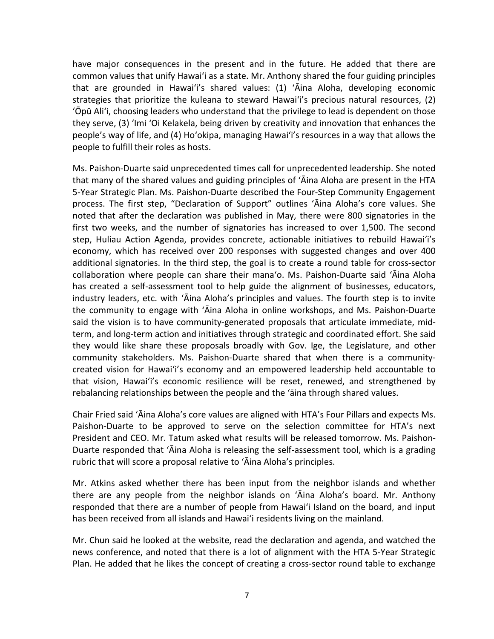have major consequences in the present and in the future. He added that there are common values that unify Hawaiʻi as a state. Mr. Anthony shared the four guiding principles that are grounded in Hawaiʻi's shared values: (1) ʻĀina Aloha, developing economic strategies that prioritize the kuleana to steward Hawaiʻi's precious natural resources, (2) ʻŌpū Aliʻi, choosing leaders who understand that the privilege to lead is dependent on those they serve, (3) ʻImi ʻOi Kelakela, being driven by creativity and innovation that enhances the people's way of life, and (4) Hoʻokipa, managing Hawaiʻi's resources in a way that allows the people to fulfill their roles as hosts.

Ms. Paishon-Duarte said unprecedented times call for unprecedented leadership. She noted that many of the shared values and guiding principles of ʻĀina Aloha are present in the HTA 5-Year Strategic Plan. Ms. Paishon-Duarte described the Four-Step Community Engagement process. The first step, "Declaration of Support" outlines ʻĀina Aloha's core values. She noted that after the declaration was published in May, there were 800 signatories in the first two weeks, and the number of signatories has increased to over 1,500. The second step, Huliau Action Agenda, provides concrete, actionable initiatives to rebuild Hawaiʻi's economy, which has received over 200 responses with suggested changes and over 400 additional signatories. In the third step, the goal is to create a round table for cross-sector collaboration where people can share their manaʻo. Ms. Paishon-Duarte said ʻĀina Aloha has created a self-assessment tool to help guide the alignment of businesses, educators, industry leaders, etc. with ʻĀina Aloha's principles and values. The fourth step is to invite the community to engage with ʻĀina Aloha in online workshops, and Ms. Paishon-Duarte said the vision is to have community-generated proposals that articulate immediate, midterm, and long-term action and initiatives through strategic and coordinated effort. She said they would like share these proposals broadly with Gov. Ige, the Legislature, and other community stakeholders. Ms. Paishon-Duarte shared that when there is a communitycreated vision for Hawaiʻi's economy and an empowered leadership held accountable to that vision, Hawaiʻi's economic resilience will be reset, renewed, and strengthened by rebalancing relationships between the people and the ʻāina through shared values.

Chair Fried said ʻĀina Aloha's core values are aligned with HTA's Four Pillars and expects Ms. Paishon-Duarte to be approved to serve on the selection committee for HTA's next President and CEO. Mr. Tatum asked what results will be released tomorrow. Ms. Paishon-Duarte responded that ʻĀina Aloha is releasing the self-assessment tool, which is a grading rubric that will score a proposal relative to ʻĀina Aloha's principles.

Mr. Atkins asked whether there has been input from the neighbor islands and whether there are any people from the neighbor islands on ʻĀina Aloha's board. Mr. Anthony responded that there are a number of people from Hawaiʻi Island on the board, and input has been received from all islands and Hawaiʻi residents living on the mainland.

Mr. Chun said he looked at the website, read the declaration and agenda, and watched the news conference, and noted that there is a lot of alignment with the HTA 5-Year Strategic Plan. He added that he likes the concept of creating a cross-sector round table to exchange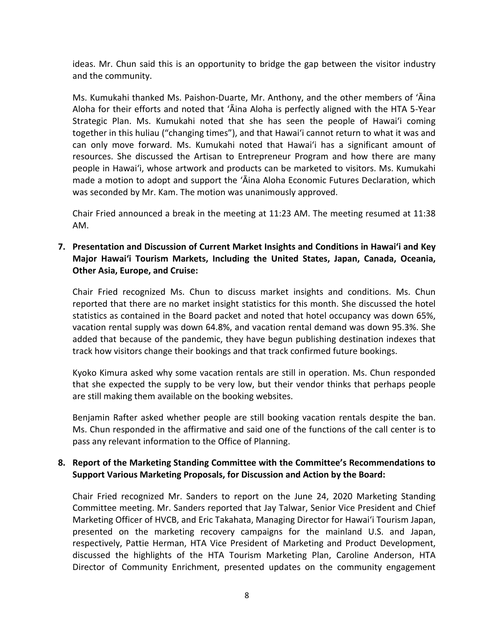ideas. Mr. Chun said this is an opportunity to bridge the gap between the visitor industry and the community.

Ms. Kumukahi thanked Ms. Paishon-Duarte, Mr. Anthony, and the other members of ʻĀina Aloha for their efforts and noted that ʻĀina Aloha is perfectly aligned with the HTA 5-Year Strategic Plan. Ms. Kumukahi noted that she has seen the people of Hawaiʻi coming together in this huliau ("changing times"), and that Hawaiʻi cannot return to what it was and can only move forward. Ms. Kumukahi noted that Hawaiʻi has a significant amount of resources. She discussed the Artisan to Entrepreneur Program and how there are many people in Hawaiʻi, whose artwork and products can be marketed to visitors. Ms. Kumukahi made a motion to adopt and support the ʻĀina Aloha Economic Futures Declaration, which was seconded by Mr. Kam. The motion was unanimously approved.

Chair Fried announced a break in the meeting at 11:23 AM. The meeting resumed at 11:38 AM.

## **7. Presentation and Discussion of Current Market Insights and Conditions in Hawai'i and Key Major Hawai'i Tourism Markets, Including the United States, Japan, Canada, Oceania, Other Asia, Europe, and Cruise:**

Chair Fried recognized Ms. Chun to discuss market insights and conditions. Ms. Chun reported that there are no market insight statistics for this month. She discussed the hotel statistics as contained in the Board packet and noted that hotel occupancy was down 65%, vacation rental supply was down 64.8%, and vacation rental demand was down 95.3%. She added that because of the pandemic, they have begun publishing destination indexes that track how visitors change their bookings and that track confirmed future bookings.

Kyoko Kimura asked why some vacation rentals are still in operation. Ms. Chun responded that she expected the supply to be very low, but their vendor thinks that perhaps people are still making them available on the booking websites.

Benjamin Rafter asked whether people are still booking vacation rentals despite the ban. Ms. Chun responded in the affirmative and said one of the functions of the call center is to pass any relevant information to the Office of Planning.

# **8. Report of the Marketing Standing Committee with the Committee's Recommendations to Support Various Marketing Proposals, for Discussion and Action by the Board:**

Chair Fried recognized Mr. Sanders to report on the June 24, 2020 Marketing Standing Committee meeting. Mr. Sanders reported that Jay Talwar, Senior Vice President and Chief Marketing Officer of HVCB, and Eric Takahata, Managing Director for Hawaiʻi Tourism Japan, presented on the marketing recovery campaigns for the mainland U.S. and Japan, respectively, Pattie Herman, HTA Vice President of Marketing and Product Development, discussed the highlights of the HTA Tourism Marketing Plan, Caroline Anderson, HTA Director of Community Enrichment, presented updates on the community engagement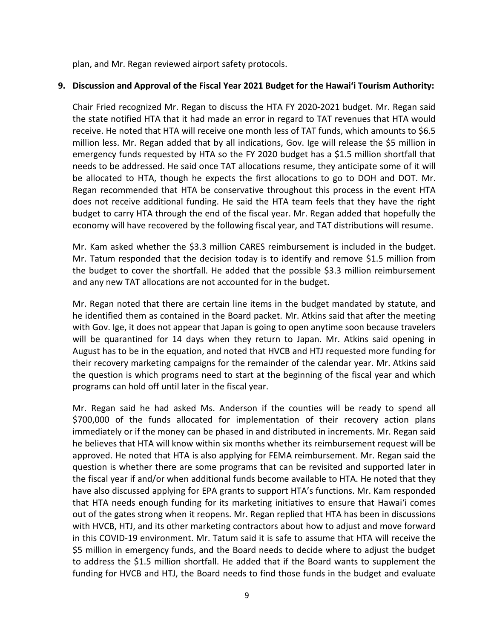plan, and Mr. Regan reviewed airport safety protocols.

### **9. Discussion and Approval of the Fiscal Year 2021 Budget for the Hawaiʻi Tourism Authority:**

Chair Fried recognized Mr. Regan to discuss the HTA FY 2020-2021 budget. Mr. Regan said the state notified HTA that it had made an error in regard to TAT revenues that HTA would receive. He noted that HTA will receive one month less of TAT funds, which amounts to \$6.5 million less. Mr. Regan added that by all indications, Gov. Ige will release the \$5 million in emergency funds requested by HTA so the FY 2020 budget has a \$1.5 million shortfall that needs to be addressed. He said once TAT allocations resume, they anticipate some of it will be allocated to HTA, though he expects the first allocations to go to DOH and DOT. Mr. Regan recommended that HTA be conservative throughout this process in the event HTA does not receive additional funding. He said the HTA team feels that they have the right budget to carry HTA through the end of the fiscal year. Mr. Regan added that hopefully the economy will have recovered by the following fiscal year, and TAT distributions will resume.

Mr. Kam asked whether the \$3.3 million CARES reimbursement is included in the budget. Mr. Tatum responded that the decision today is to identify and remove \$1.5 million from the budget to cover the shortfall. He added that the possible \$3.3 million reimbursement and any new TAT allocations are not accounted for in the budget.

Mr. Regan noted that there are certain line items in the budget mandated by statute, and he identified them as contained in the Board packet. Mr. Atkins said that after the meeting with Gov. Ige, it does not appear that Japan is going to open anytime soon because travelers will be quarantined for 14 days when they return to Japan. Mr. Atkins said opening in August has to be in the equation, and noted that HVCB and HTJ requested more funding for their recovery marketing campaigns for the remainder of the calendar year. Mr. Atkins said the question is which programs need to start at the beginning of the fiscal year and which programs can hold off until later in the fiscal year.

Mr. Regan said he had asked Ms. Anderson if the counties will be ready to spend all \$700,000 of the funds allocated for implementation of their recovery action plans immediately or if the money can be phased in and distributed in increments. Mr. Regan said he believes that HTA will know within six months whether its reimbursement request will be approved. He noted that HTA is also applying for FEMA reimbursement. Mr. Regan said the question is whether there are some programs that can be revisited and supported later in the fiscal year if and/or when additional funds become available to HTA. He noted that they have also discussed applying for EPA grants to support HTA's functions. Mr. Kam responded that HTA needs enough funding for its marketing initiatives to ensure that Hawaiʻi comes out of the gates strong when it reopens. Mr. Regan replied that HTA has been in discussions with HVCB, HTJ, and its other marketing contractors about how to adjust and move forward in this COVID-19 environment. Mr. Tatum said it is safe to assume that HTA will receive the \$5 million in emergency funds, and the Board needs to decide where to adjust the budget to address the \$1.5 million shortfall. He added that if the Board wants to supplement the funding for HVCB and HTJ, the Board needs to find those funds in the budget and evaluate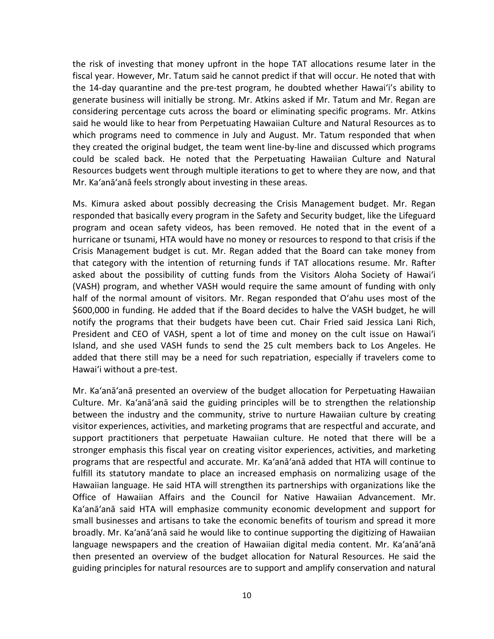the risk of investing that money upfront in the hope TAT allocations resume later in the fiscal year. However, Mr. Tatum said he cannot predict if that will occur. He noted that with the 14-day quarantine and the pre-test program, he doubted whether Hawaiʻi's ability to generate business will initially be strong. Mr. Atkins asked if Mr. Tatum and Mr. Regan are considering percentage cuts across the board or eliminating specific programs. Mr. Atkins said he would like to hear from Perpetuating Hawaiian Culture and Natural Resources as to which programs need to commence in July and August. Mr. Tatum responded that when they created the original budget, the team went line-by-line and discussed which programs could be scaled back. He noted that the Perpetuating Hawaiian Culture and Natural Resources budgets went through multiple iterations to get to where they are now, and that Mr. Ka'anā'anā feels strongly about investing in these areas.

Ms. Kimura asked about possibly decreasing the Crisis Management budget. Mr. Regan responded that basically every program in the Safety and Security budget, like the Lifeguard program and ocean safety videos, has been removed. He noted that in the event of a hurricane or tsunami, HTA would have no money or resources to respond to that crisis if the Crisis Management budget is cut. Mr. Regan added that the Board can take money from that category with the intention of returning funds if TAT allocations resume. Mr. Rafter asked about the possibility of cutting funds from the Visitors Aloha Society of Hawaiʻi (VASH) program, and whether VASH would require the same amount of funding with only half of the normal amount of visitors. Mr. Regan responded that Oʻahu uses most of the \$600,000 in funding. He added that if the Board decides to halve the VASH budget, he will notify the programs that their budgets have been cut. Chair Fried said Jessica Lani Rich, President and CEO of VASH, spent a lot of time and money on the cult issue on Hawaiʻi Island, and she used VASH funds to send the 25 cult members back to Los Angeles. He added that there still may be a need for such repatriation, especially if travelers come to Hawaiʻi without a pre-test.

Mr. Ka'anā'anā presented an overview of the budget allocation for Perpetuating Hawaiian Culture. Mr. Ka'anā'anā said the guiding principles will be to strengthen the relationship between the industry and the community, strive to nurture Hawaiian culture by creating visitor experiences, activities, and marketing programs that are respectful and accurate, and support practitioners that perpetuate Hawaiian culture. He noted that there will be a stronger emphasis this fiscal year on creating visitor experiences, activities, and marketing programs that are respectful and accurate. Mr. Ka'anā'anā added that HTA will continue to fulfill its statutory mandate to place an increased emphasis on normalizing usage of the Hawaiian language. He said HTA will strengthen its partnerships with organizations like the Office of Hawaiian Affairs and the Council for Native Hawaiian Advancement. Mr. Ka'anā'anā said HTA will emphasize community economic development and support for small businesses and artisans to take the economic benefits of tourism and spread it more broadly. Mr. Ka'anā'anā said he would like to continue supporting the digitizing of Hawaiian language newspapers and the creation of Hawaiian digital media content. Mr. Ka'anā'anā then presented an overview of the budget allocation for Natural Resources. He said the guiding principles for natural resources are to support and amplify conservation and natural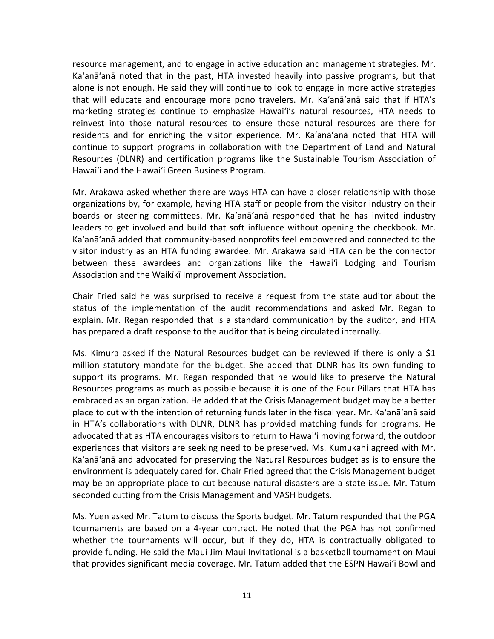resource management, and to engage in active education and management strategies. Mr. Ka'anā'anā noted that in the past, HTA invested heavily into passive programs, but that alone is not enough. He said they will continue to look to engage in more active strategies that will educate and encourage more pono travelers. Mr. Ka'anā'anā said that if HTA's marketing strategies continue to emphasize Hawaiʻi's natural resources, HTA needs to reinvest into those natural resources to ensure those natural resources are there for residents and for enriching the visitor experience. Mr. Ka'anā'anā noted that HTA will continue to support programs in collaboration with the Department of Land and Natural Resources (DLNR) and certification programs like the Sustainable Tourism Association of Hawaiʻi and the Hawaiʻi Green Business Program.

Mr. Arakawa asked whether there are ways HTA can have a closer relationship with those organizations by, for example, having HTA staff or people from the visitor industry on their boards or steering committees. Mr. Ka'anā'anā responded that he has invited industry leaders to get involved and build that soft influence without opening the checkbook. Mr. Ka'anā'anā added that community-based nonprofits feel empowered and connected to the visitor industry as an HTA funding awardee. Mr. Arakawa said HTA can be the connector between these awardees and organizations like the Hawaiʻi Lodging and Tourism Association and the Waikīkī Improvement Association.

Chair Fried said he was surprised to receive a request from the state auditor about the status of the implementation of the audit recommendations and asked Mr. Regan to explain. Mr. Regan responded that is a standard communication by the auditor, and HTA has prepared a draft response to the auditor that is being circulated internally.

Ms. Kimura asked if the Natural Resources budget can be reviewed if there is only a \$1 million statutory mandate for the budget. She added that DLNR has its own funding to support its programs. Mr. Regan responded that he would like to preserve the Natural Resources programs as much as possible because it is one of the Four Pillars that HTA has embraced as an organization. He added that the Crisis Management budget may be a better place to cut with the intention of returning funds later in the fiscal year. Mr. Ka'anā'anā said in HTA's collaborations with DLNR, DLNR has provided matching funds for programs. He advocated that as HTA encourages visitors to return to Hawaiʻi moving forward, the outdoor experiences that visitors are seeking need to be preserved. Ms. Kumukahi agreed with Mr. Ka'anā'anā and advocated for preserving the Natural Resources budget as is to ensure the environment is adequately cared for. Chair Fried agreed that the Crisis Management budget may be an appropriate place to cut because natural disasters are a state issue. Mr. Tatum seconded cutting from the Crisis Management and VASH budgets.

Ms. Yuen asked Mr. Tatum to discuss the Sports budget. Mr. Tatum responded that the PGA tournaments are based on a 4-year contract. He noted that the PGA has not confirmed whether the tournaments will occur, but if they do, HTA is contractually obligated to provide funding. He said the Maui Jim Maui Invitational is a basketball tournament on Maui that provides significant media coverage. Mr. Tatum added that the ESPN Hawaiʻi Bowl and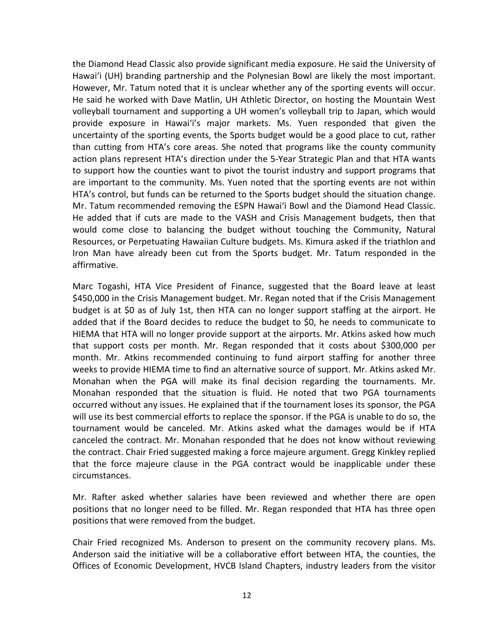the Diamond Head Classic also provide significant media exposure. He said the University of Hawaiʻi (UH) branding partnership and the Polynesian Bowl are likely the most important. However, Mr. Tatum noted that it is unclear whether any of the sporting events will occur. He said he worked with Dave Matlin, UH Athletic Director, on hosting the Mountain West volleyball tournament and supporting a UH women's volleyball trip to Japan, which would provide exposure in Hawaiʻi's major markets. Ms. Yuen responded that given the uncertainty of the sporting events, the Sports budget would be a good place to cut, rather than cutting from HTA's core areas. She noted that programs like the county community action plans represent HTA's direction under the 5-Year Strategic Plan and that HTA wants to support how the counties want to pivot the tourist industry and support programs that are important to the community. Ms. Yuen noted that the sporting events are not within HTA's control, but funds can be returned to the Sports budget should the situation change. Mr. Tatum recommended removing the ESPN Hawaiʻi Bowl and the Diamond Head Classic. He added that if cuts are made to the VASH and Crisis Management budgets, then that would come close to balancing the budget without touching the Community, Natural Resources, or Perpetuating Hawaiian Culture budgets. Ms. Kimura asked if the triathlon and Iron Man have already been cut from the Sports budget. Mr. Tatum responded in the affirmative.

Marc Togashi, HTA Vice President of Finance, suggested that the Board leave at least \$450,000 in the Crisis Management budget. Mr. Regan noted that if the Crisis Management budget is at \$0 as of July 1st, then HTA can no longer support staffing at the airport. He added that if the Board decides to reduce the budget to \$0, he needs to communicate to HIEMA that HTA will no longer provide support at the airports. Mr. Atkins asked how much that support costs per month. Mr. Regan responded that it costs about \$300,000 per month. Mr. Atkins recommended continuing to fund airport staffing for another three weeks to provide HIEMA time to find an alternative source of support. Mr. Atkins asked Mr. Monahan when the PGA will make its final decision regarding the tournaments. Mr. Monahan responded that the situation is fluid. He noted that two PGA tournaments occurred without any issues. He explained that if the tournament loses its sponsor, the PGA will use its best commercial efforts to replace the sponsor. If the PGA is unable to do so, the tournament would be canceled. Mr. Atkins asked what the damages would be if HTA canceled the contract. Mr. Monahan responded that he does not know without reviewing the contract. Chair Fried suggested making a force majeure argument. Gregg Kinkley replied that the force majeure clause in the PGA contract would be inapplicable under these circumstances.

Mr. Rafter asked whether salaries have been reviewed and whether there are open positions that no longer need to be filled. Mr. Regan responded that HTA has three open positions that were removed from the budget.

Chair Fried recognized Ms. Anderson to present on the community recovery plans. Ms. Anderson said the initiative will be a collaborative effort between HTA, the counties, the Offices of Economic Development, HVCB Island Chapters, industry leaders from the visitor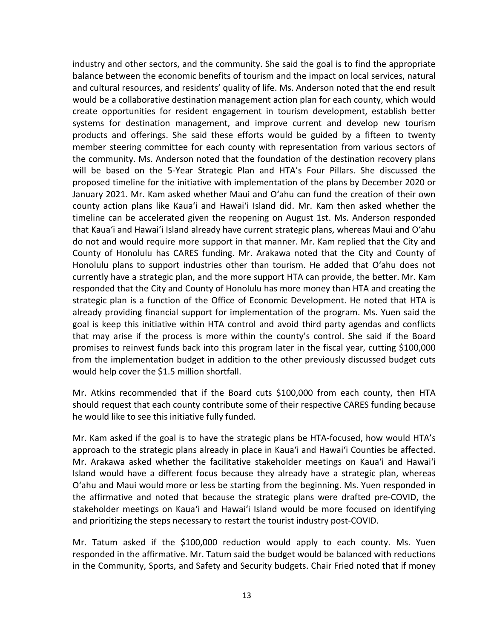industry and other sectors, and the community. She said the goal is to find the appropriate balance between the economic benefits of tourism and the impact on local services, natural and cultural resources, and residents' quality of life. Ms. Anderson noted that the end result would be a collaborative destination management action plan for each county, which would create opportunities for resident engagement in tourism development, establish better systems for destination management, and improve current and develop new tourism products and offerings. She said these efforts would be guided by a fifteen to twenty member steering committee for each county with representation from various sectors of the community. Ms. Anderson noted that the foundation of the destination recovery plans will be based on the 5-Year Strategic Plan and HTA's Four Pillars. She discussed the proposed timeline for the initiative with implementation of the plans by December 2020 or January 2021. Mr. Kam asked whether Maui and Oʻahu can fund the creation of their own county action plans like Kauaʻi and Hawaiʻi Island did. Mr. Kam then asked whether the timeline can be accelerated given the reopening on August 1st. Ms. Anderson responded that Kauaʻi and Hawaiʻi Island already have current strategic plans, whereas Maui and Oʻahu do not and would require more support in that manner. Mr. Kam replied that the City and County of Honolulu has CARES funding. Mr. Arakawa noted that the City and County of Honolulu plans to support industries other than tourism. He added that Oʻahu does not currently have a strategic plan, and the more support HTA can provide, the better. Mr. Kam responded that the City and County of Honolulu has more money than HTA and creating the strategic plan is a function of the Office of Economic Development. He noted that HTA is already providing financial support for implementation of the program. Ms. Yuen said the goal is keep this initiative within HTA control and avoid third party agendas and conflicts that may arise if the process is more within the county's control. She said if the Board promises to reinvest funds back into this program later in the fiscal year, cutting \$100,000 from the implementation budget in addition to the other previously discussed budget cuts would help cover the \$1.5 million shortfall.

Mr. Atkins recommended that if the Board cuts \$100,000 from each county, then HTA should request that each county contribute some of their respective CARES funding because he would like to see this initiative fully funded.

Mr. Kam asked if the goal is to have the strategic plans be HTA-focused, how would HTA's approach to the strategic plans already in place in Kauaʻi and Hawaiʻi Counties be affected. Mr. Arakawa asked whether the facilitative stakeholder meetings on Kauaʻi and Hawaiʻi Island would have a different focus because they already have a strategic plan, whereas Oʻahu and Maui would more or less be starting from the beginning. Ms. Yuen responded in the affirmative and noted that because the strategic plans were drafted pre-COVID, the stakeholder meetings on Kauaʻi and Hawaiʻi Island would be more focused on identifying and prioritizing the steps necessary to restart the tourist industry post-COVID.

Mr. Tatum asked if the \$100,000 reduction would apply to each county. Ms. Yuen responded in the affirmative. Mr. Tatum said the budget would be balanced with reductions in the Community, Sports, and Safety and Security budgets. Chair Fried noted that if money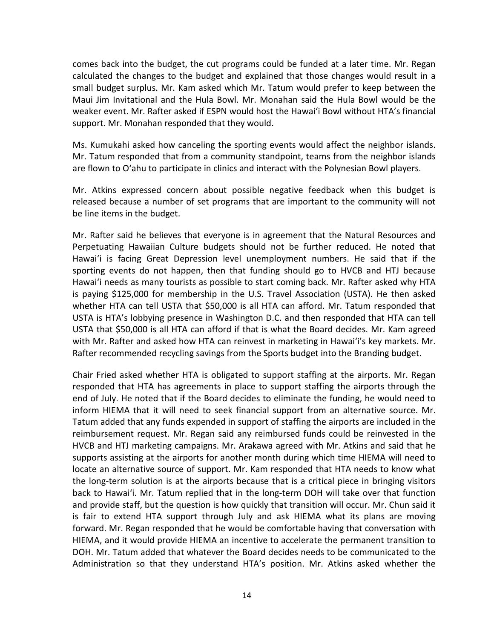comes back into the budget, the cut programs could be funded at a later time. Mr. Regan calculated the changes to the budget and explained that those changes would result in a small budget surplus. Mr. Kam asked which Mr. Tatum would prefer to keep between the Maui Jim Invitational and the Hula Bowl. Mr. Monahan said the Hula Bowl would be the weaker event. Mr. Rafter asked if ESPN would host the Hawaiʻi Bowl without HTA's financial support. Mr. Monahan responded that they would.

Ms. Kumukahi asked how canceling the sporting events would affect the neighbor islands. Mr. Tatum responded that from a community standpoint, teams from the neighbor islands are flown to Oʻahu to participate in clinics and interact with the Polynesian Bowl players.

Mr. Atkins expressed concern about possible negative feedback when this budget is released because a number of set programs that are important to the community will not be line items in the budget.

Mr. Rafter said he believes that everyone is in agreement that the Natural Resources and Perpetuating Hawaiian Culture budgets should not be further reduced. He noted that Hawaiʻi is facing Great Depression level unemployment numbers. He said that if the sporting events do not happen, then that funding should go to HVCB and HTJ because Hawaiʻi needs as many tourists as possible to start coming back. Mr. Rafter asked why HTA is paying \$125,000 for membership in the U.S. Travel Association (USTA). He then asked whether HTA can tell USTA that \$50,000 is all HTA can afford. Mr. Tatum responded that USTA is HTA's lobbying presence in Washington D.C. and then responded that HTA can tell USTA that \$50,000 is all HTA can afford if that is what the Board decides. Mr. Kam agreed with Mr. Rafter and asked how HTA can reinvest in marketing in Hawaiʻi's key markets. Mr. Rafter recommended recycling savings from the Sports budget into the Branding budget.

Chair Fried asked whether HTA is obligated to support staffing at the airports. Mr. Regan responded that HTA has agreements in place to support staffing the airports through the end of July. He noted that if the Board decides to eliminate the funding, he would need to inform HIEMA that it will need to seek financial support from an alternative source. Mr. Tatum added that any funds expended in support of staffing the airports are included in the reimbursement request. Mr. Regan said any reimbursed funds could be reinvested in the HVCB and HTJ marketing campaigns. Mr. Arakawa agreed with Mr. Atkins and said that he supports assisting at the airports for another month during which time HIEMA will need to locate an alternative source of support. Mr. Kam responded that HTA needs to know what the long-term solution is at the airports because that is a critical piece in bringing visitors back to Hawaiʻi. Mr. Tatum replied that in the long-term DOH will take over that function and provide staff, but the question is how quickly that transition will occur. Mr. Chun said it is fair to extend HTA support through July and ask HIEMA what its plans are moving forward. Mr. Regan responded that he would be comfortable having that conversation with HIEMA, and it would provide HIEMA an incentive to accelerate the permanent transition to DOH. Mr. Tatum added that whatever the Board decides needs to be communicated to the Administration so that they understand HTA's position. Mr. Atkins asked whether the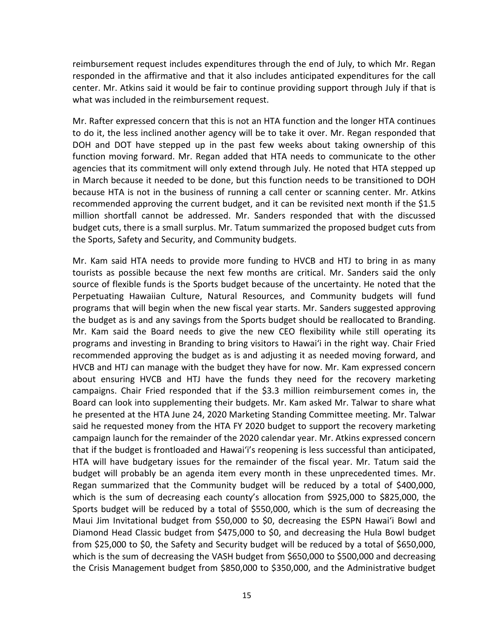reimbursement request includes expenditures through the end of July, to which Mr. Regan responded in the affirmative and that it also includes anticipated expenditures for the call center. Mr. Atkins said it would be fair to continue providing support through July if that is what was included in the reimbursement request.

Mr. Rafter expressed concern that this is not an HTA function and the longer HTA continues to do it, the less inclined another agency will be to take it over. Mr. Regan responded that DOH and DOT have stepped up in the past few weeks about taking ownership of this function moving forward. Mr. Regan added that HTA needs to communicate to the other agencies that its commitment will only extend through July. He noted that HTA stepped up in March because it needed to be done, but this function needs to be transitioned to DOH because HTA is not in the business of running a call center or scanning center. Mr. Atkins recommended approving the current budget, and it can be revisited next month if the \$1.5 million shortfall cannot be addressed. Mr. Sanders responded that with the discussed budget cuts, there is a small surplus. Mr. Tatum summarized the proposed budget cuts from the Sports, Safety and Security, and Community budgets.

Mr. Kam said HTA needs to provide more funding to HVCB and HTJ to bring in as many tourists as possible because the next few months are critical. Mr. Sanders said the only source of flexible funds is the Sports budget because of the uncertainty. He noted that the Perpetuating Hawaiian Culture, Natural Resources, and Community budgets will fund programs that will begin when the new fiscal year starts. Mr. Sanders suggested approving the budget as is and any savings from the Sports budget should be reallocated to Branding. Mr. Kam said the Board needs to give the new CEO flexibility while still operating its programs and investing in Branding to bring visitors to Hawaiʻi in the right way. Chair Fried recommended approving the budget as is and adjusting it as needed moving forward, and HVCB and HTJ can manage with the budget they have for now. Mr. Kam expressed concern about ensuring HVCB and HTJ have the funds they need for the recovery marketing campaigns. Chair Fried responded that if the \$3.3 million reimbursement comes in, the Board can look into supplementing their budgets. Mr. Kam asked Mr. Talwar to share what he presented at the HTA June 24, 2020 Marketing Standing Committee meeting. Mr. Talwar said he requested money from the HTA FY 2020 budget to support the recovery marketing campaign launch for the remainder of the 2020 calendar year. Mr. Atkins expressed concern that if the budget is frontloaded and Hawai'i's reopening is less successful than anticipated, HTA will have budgetary issues for the remainder of the fiscal year. Mr. Tatum said the budget will probably be an agenda item every month in these unprecedented times. Mr. Regan summarized that the Community budget will be reduced by a total of \$400,000, which is the sum of decreasing each county's allocation from \$925,000 to \$825,000, the Sports budget will be reduced by a total of \$550,000, which is the sum of decreasing the Maui Jim Invitational budget from \$50,000 to \$0, decreasing the ESPN Hawai'i Bowl and Diamond Head Classic budget from \$475,000 to \$0, and decreasing the Hula Bowl budget from \$25,000 to \$0, the Safety and Security budget will be reduced by a total of \$650,000, which is the sum of decreasing the VASH budget from \$650,000 to \$500,000 and decreasing the Crisis Management budget from \$850,000 to \$350,000, and the Administrative budget